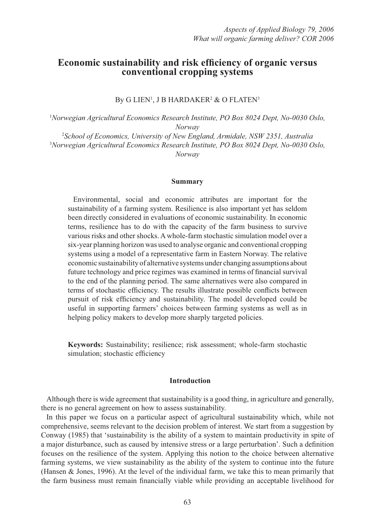# Economic sustainability and risk efficiency of organic versus **conventional cropping systems**

By G LIEN', J B HARDAKER<del>'</del> & O FLATEN<sup>3</sup>

1 *Norwegian Agricultural Economics Research Institute, PO Box 8024 Dept, No-0030 Oslo, Norway*

2 *School of Economics, University of New England, Armidale, NSW 2351, Australia* 3 *Norwegian Agricultural Economics Research Institute, PO Box 8024 Dept, No-0030 Oslo, Norway*

#### **Summary**

Environmental, social and economic attributes are important for the sustainability of a farming system. Resilience is also important yet has seldom been directly considered in evaluations of economic sustainability. In economic terms, resilience has to do with the capacity of the farm business to survive various risks and other shocks. A whole-farm stochastic simulation model over a six-year planning horizon was used to analyse organic and conventional cropping systems using a model of a representative farm in Eastern Norway. The relative economic sustainability of alternative systems under changing assumptions about future technology and price regimes was examined in terms of financial survival to the end of the planning period. The same alternatives were also compared in terms of stochastic efficiency. The results illustrate possible conflicts between pursuit of risk efficiency and sustainability. The model developed could be useful in supporting farmers' choices between farming systems as well as in helping policy makers to develop more sharply targeted policies.

**Keywords:** Sustainability; resilience; risk assessment; whole-farm stochastic simulation; stochastic efficiency

#### **Introduction**

Although there is wide agreement that sustainability is a good thing, in agriculture and generally, there is no general agreement on how to assess sustainability.

In this paper we focus on a particular aspect of agricultural sustainability which, while not comprehensive, seems relevant to the decision problem of interest. We start from a suggestion by Conway (1985) that 'sustainability is the ability of a system to maintain productivity in spite of a major disturbance, such as caused by intensive stress or a large perturbation'. Such a definition focuses on the resilience of the system. Applying this notion to the choice between alternative farming systems, we view sustainability as the ability of the system to continue into the future (Hansen & Jones, 1996). At the level of the individual farm, we take this to mean primarily that the farm business must remain financially viable while providing an acceptable livelihood for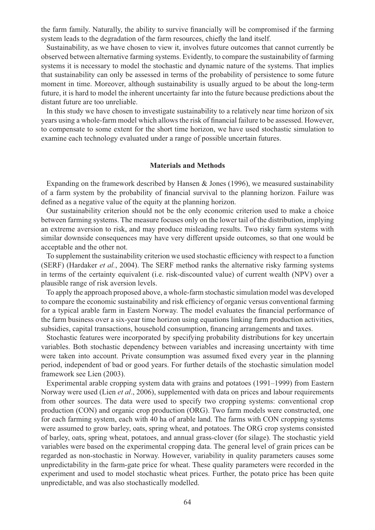the farm family. Naturally, the ability to survive financially will be compromised if the farming system leads to the degradation of the farm resources, chiefly the land itself.

Sustainability, as we have chosen to view it, involves future outcomes that cannot currently be observed between alternative farming systems. Evidently, to compare the sustainability of farming systems it is necessary to model the stochastic and dynamic nature of the systems. That implies that sustainability can only be assessed in terms of the probability of persistence to some future moment in time. Moreover, although sustainability is usually argued to be about the long-term future, it is hard to model the inherent uncertainty far into the future because predictions about the distant future are too unreliable.

In this study we have chosen to investigate sustainability to a relatively near time horizon of six years using a whole-farm model which allows the risk of financial failure to be assessed. However, to compensate to some extent for the short time horizon, we have used stochastic simulation to examine each technology evaluated under a range of possible uncertain futures.

### **Materials and Methods**

Expanding on the framework described by Hansen & Jones (1996), we measured sustainability of a farm system by the probability of financial survival to the planning horizon. Failure was defined as a negative value of the equity at the planning horizon.

Our sustainability criterion should not be the only economic criterion used to make a choice between farming systems. The measure focuses only on the lower tail of the distribution, implying an extreme aversion to risk, and may produce misleading results. Two risky farm systems with similar downside consequences may have very different upside outcomes, so that one would be acceptable and the other not.

To supplement the sustainability criterion we used stochastic efficiency with respect to a function (SERF) (Hardaker *et al.*, 2004). The SERF method ranks the alternative risky farming systems in terms of the certainty equivalent (i.e. risk-discounted value) of current wealth (NPV) over a plausible range of risk aversion levels.

To apply the approach proposed above, a whole-farm stochastic simulation model was developed to compare the economic sustainability and risk efficiency of organic versus conventional farming for a typical arable farm in Eastern Norway. The model evaluates the financial performance of the farm business over a six-year time horizon using equations linking farm production activities, subsidies, capital transactions, household consumption, financing arrangements and taxes.

Stochastic features were incorporated by specifying probability distributions for key uncertain variables. Both stochastic dependency between variables and increasing uncertainty with time were taken into account. Private consumption was assumed fixed every year in the planning period, independent of bad or good years. For further details of the stochastic simulation model framework see Lien (2003).

Experimental arable cropping system data with grains and potatoes (1991–1999) from Eastern Norway were used (Lien *et al*., 2006), supplemented with data on prices and labour requirements from other sources. The data were used to specify two cropping systems: conventional crop production (CON) and organic crop production (ORG). Two farm models were constructed, one for each farming system, each with 40 ha of arable land. The farms with CON cropping systems were assumed to grow barley, oats, spring wheat, and potatoes. The ORG crop systems consisted of barley, oats, spring wheat, potatoes, and annual grass-clover (for silage). The stochastic yield variables were based on the experimental cropping data. The general level of grain prices can be regarded as non-stochastic in Norway. However, variability in quality parameters causes some unpredictability in the farm-gate price for wheat. These quality parameters were recorded in the experiment and used to model stochastic wheat prices. Further, the potato price has been quite unpredictable, and was also stochastically modelled.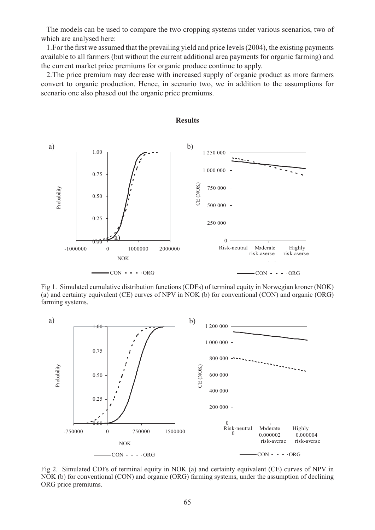The models can be used to compare the two cropping systems under various scenarios, two of which are analysed here:

1. For the first we assumed that the prevailing yield and price levels (2004), the existing payments available to all farmers (but without the current additional area payments for organic farming) and the current market price premiums for organic produce continue to apply.

2. The price premium may decrease with increased supply of organic product as more farmers convert to organic production. Hence, in scenario two, we in addition to the assumptions for scenario one also phased out the organic price premiums.



**Results**

Fig 1. Simulated cumulative distribution functions (CDFs) of terminal equity in Norwegian kroner (NOK) (a) and certainty equivalent (CE) curves of NPV in NOK (b) for conventional (CON) and organic (ORG) farming systems.



Fig 2. Simulated CDFs of terminal equity in NOK (a) and certainty equivalent (CE) curves of NPV in NOK (b) for conventional (CON) and organic (ORG) farming systems, under the assumption of declining ORG price premiums.